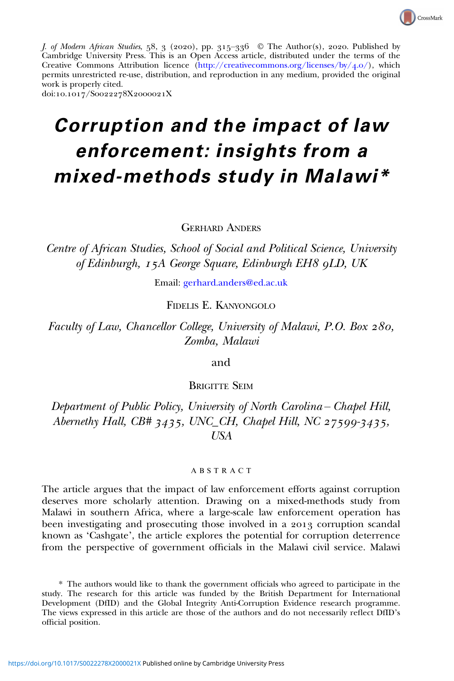

J. of Modern African Studies, 58, 3 (2020), pp. 315-336  $\odot$  The Author(s), 2020. Published by Cambridge University Press. This is an Open Access article, distributed under the terms of the Creative Commons Attribution licence ([http://creativecommons.org/licenses/by/](http://creativecommons.org/licenses/by/4.0/)4.0/), which permits unrestricted re-use, distribution, and reproduction in any medium, provided the original work is properly cited.

#### doi:10.1017/S0022278X2000021X

# Corruption and the impact of law enforcement: insights from a mixed-methods study in Malawi\*

GERHARD ANDERS

Centre of African Studies, School of Social and Political Science, University of Edinburgh, 15A George Square, Edinburgh EH8 9LD, UK

Email: [gerhard.anders@ed.ac.uk](mailto:gerhard.anders@ed.ac.uk)

FIDELIS E. KANYONGOLO

Faculty of Law, Chancellor College, University of Malawi, P.O. Box 280, Zomba, Malawi

and

BRIGITTE SEIM

Department of Public Policy, University of North Carolina – Chapel Hill, Abernethy Hall, CB#  $3435$ , UNC\_CH, Chapel Hill, NC  $27599 - 3435$ , USA

#### ABSTRACT

The article argues that the impact of law enforcement efforts against corruption deserves more scholarly attention. Drawing on a mixed-methods study from Malawi in southern Africa, where a large-scale law enforcement operation has been investigating and prosecuting those involved in a 2013 corruption scandal known as 'Cashgate', the article explores the potential for corruption deterrence from the perspective of government officials in the Malawi civil service. Malawi

\* The authors would like to thank the government officials who agreed to participate in the study. The research for this article was funded by the British Department for International Development (DfID) and the Global Integrity Anti-Corruption Evidence research programme. The views expressed in this article are those of the authors and do not necessarily reflect DfID's official position.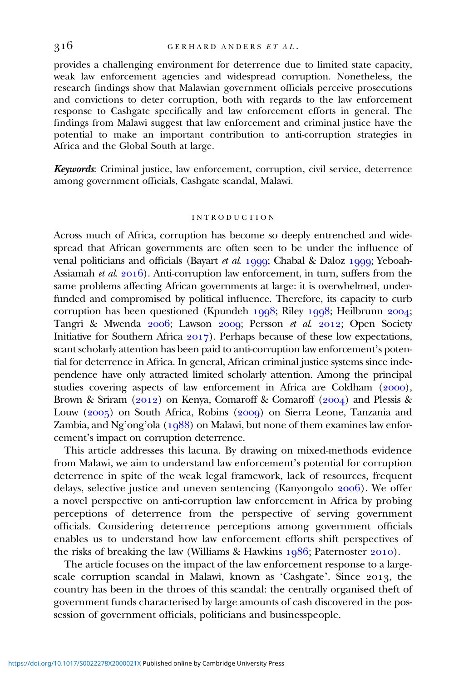provides a challenging environment for deterrence due to limited state capacity, weak law enforcement agencies and widespread corruption. Nonetheless, the research findings show that Malawian government officials perceive prosecutions and convictions to deter corruption, both with regards to the law enforcement response to Cashgate specifically and law enforcement efforts in general. The findings from Malawi suggest that law enforcement and criminal justice have the potential to make an important contribution to anti-corruption strategies in Africa and the Global South at large.

Keywords: Criminal justice, law enforcement, corruption, civil service, deterrence among government officials, Cashgate scandal, Malawi.

#### INTRODUCTION

Across much of Africa, corruption has become so deeply entrenched and widespread that African governments are often seen to be under the influence of venal politicians and officials (Bayart et al. 1999; Chabal & Daloz 1999; Yeboah-Assiamah et al.  $2016$ ). Anti-corruption law enforcement, in turn, suffers from the same problems affecting African governments at large: it is overwhelmed, underfunded and compromised by political influence. Therefore, its capacity to curb corruption has been questioned (Kpundeh 1998; Riley 1998; Heilbrunn 2004; Tangri & Mwenda 2006; Lawson 2009; Persson et al. 2012; Open Society Initiative for Southern Africa  $2017$ ). Perhaps because of these low expectations, scant scholarly attention has been paid to anti-corruption law enforcement's potential for deterrence in Africa. In general, African criminal justice systems since independence have only attracted limited scholarly attention. Among the principal studies covering aspects of law enforcement in Africa are Coldham  $(2000)$ , Brown & Sriram (2012) on Kenya, Comaroff & Comaroff (2004) and Plessis & Louw  $(2005)$  on South Africa, Robins  $(2009)$  on Sierra Leone, Tanzania and Zambia, and Ng'ong'ola  $(1988)$  on Malawi, but none of them examines law enforcement's impact on corruption deterrence.

This article addresses this lacuna. By drawing on mixed-methods evidence from Malawi, we aim to understand law enforcement's potential for corruption deterrence in spite of the weak legal framework, lack of resources, frequent delays, selective justice and uneven sentencing (Kanyongolo  $2006$ ). We offer a novel perspective on anti-corruption law enforcement in Africa by probing perceptions of deterrence from the perspective of serving government officials. Considering deterrence perceptions among government officials enables us to understand how law enforcement efforts shift perspectives of the risks of breaking the law (Williams & Hawkins  $1986$ ; Paternoster 2010).

The article focuses on the impact of the law enforcement response to a largescale corruption scandal in Malawi, known as 'Cashgate'. Since 2013, the country has been in the throes of this scandal: the centrally organised theft of government funds characterised by large amounts of cash discovered in the possession of government officials, politicians and businesspeople.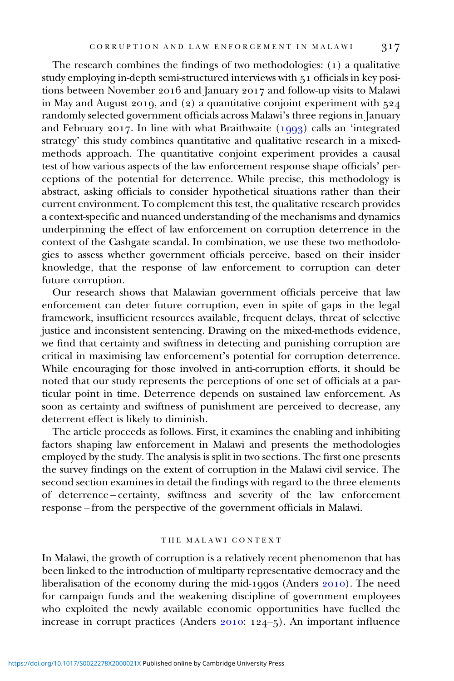The research combines the findings of two methodologies:  $(1)$  a qualitative study employing in-depth semi-structured interviews with 51 officials in key positions between November 2016 and January 2017 and follow-up visits to Malawi in May and August 2019, and (2) a quantitative conjoint experiment with  $524$ randomly selected government officials across Malawi's three regions in January and February 2017. In line with what Braithwaite  $(1993)$  calls an 'integrated strategy' this study combines quantitative and qualitative research in a mixedmethods approach. The quantitative conjoint experiment provides a causal test of how various aspects of the law enforcement response shape officials' perceptions of the potential for deterrence. While precise, this methodology is abstract, asking officials to consider hypothetical situations rather than their current environment. To complement this test, the qualitative research provides a context-specific and nuanced understanding of the mechanisms and dynamics underpinning the effect of law enforcement on corruption deterrence in the context of the Cashgate scandal. In combination, we use these two methodologies to assess whether government officials perceive, based on their insider knowledge, that the response of law enforcement to corruption can deter future corruption.

Our research shows that Malawian government officials perceive that law enforcement can deter future corruption, even in spite of gaps in the legal framework, insufficient resources available, frequent delays, threat of selective justice and inconsistent sentencing. Drawing on the mixed-methods evidence, we find that certainty and swiftness in detecting and punishing corruption are critical in maximising law enforcement's potential for corruption deterrence. While encouraging for those involved in anti-corruption efforts, it should be noted that our study represents the perceptions of one set of officials at a particular point in time. Deterrence depends on sustained law enforcement. As soon as certainty and swiftness of punishment are perceived to decrease, any deterrent effect is likely to diminish.

The article proceeds as follows. First, it examines the enabling and inhibiting factors shaping law enforcement in Malawi and presents the methodologies employed by the study. The analysis is split in two sections. The first one presents the survey findings on the extent of corruption in the Malawi civil service. The second section examines in detail the findings with regard to the three elements of deterrence – certainty, swiftness and severity of the law enforcement response – from the perspective of the government officials in Malawi.

#### THE MALAWI CONTEXT

In Malawi, the growth of corruption is a relatively recent phenomenon that has been linked to the introduction of multiparty representative democracy and the liberalisation of the economy during the mid-1990s (Anders  $2010$ ). The need for campaign funds and the weakening discipline of government employees who exploited the newly available economic opportunities have fuelled the increase in corrupt practices (Anders  $2010: 124-5$ ). An important influence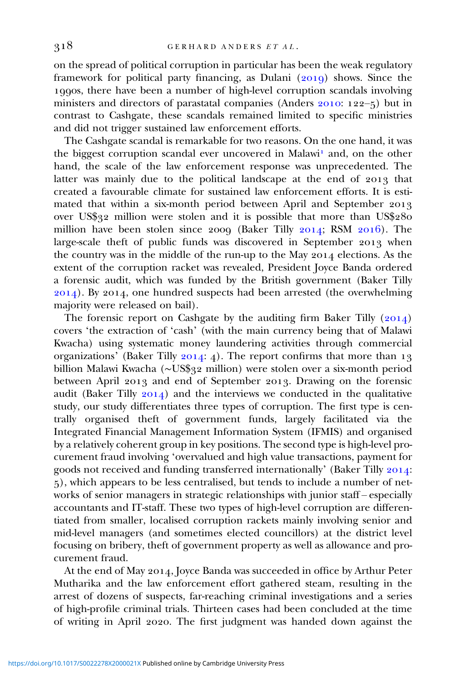on the spread of political corruption in particular has been the weak regulatory framework for political party financing, as Dulani (2019) shows. Since the 1990s, there have been a number of high-level corruption scandals involving ministers and directors of parastatal companies (Anders  $2010$ :  $122-5$ ) but in contrast to Cashgate, these scandals remained limited to specific ministries and did not trigger sustained law enforcement efforts.

The Cashgate scandal is remarkable for two reasons. On the one hand, it was the biggest corruption scandal ever uncovered in Malawi<sup>1</sup> and, on the other hand, the scale of the law enforcement response was unprecedented. The latter was mainly due to the political landscape at the end of 2013 that created a favourable climate for sustained law enforcement efforts. It is estimated that within a six-month period between April and September over US\$32 million were stolen and it is possible that more than US\$280 million have been stolen since 2009 (Baker Tilly 2014; RSM 2016). The large-scale theft of public funds was discovered in September 2013 when the country was in the middle of the run-up to the May 2014 elections. As the extent of the corruption racket was revealed, President Joyce Banda ordered a forensic audit, which was funded by the British government (Baker Tilly 2014). By 2014, one hundred suspects had been arrested (the overwhelming majority were released on bail).

The forensic report on Cashgate by the auditing firm Baker Tilly  $(2014)$ covers 'the extraction of 'cash' (with the main currency being that of Malawi Kwacha) using systematic money laundering activities through commercial organizations' (Baker Tilly  $2014:4$ ). The report confirms that more than 13 billion Malawi Kwacha (~US\$32 million) were stolen over a six-month period between April 2013 and end of September 2013. Drawing on the forensic audit (Baker Tilly  $2014$ ) and the interviews we conducted in the qualitative study, our study differentiates three types of corruption. The first type is centrally organised theft of government funds, largely facilitated via the Integrated Financial Management Information System (IFMIS) and organised by a relatively coherent group in key positions. The second type is high-level procurement fraud involving 'overvalued and high value transactions, payment for goods not received and funding transferred internationally' (Baker Tilly 2014: ), which appears to be less centralised, but tends to include a number of networks of senior managers in strategic relationships with junior staff – especially accountants and IT-staff. These two types of high-level corruption are differentiated from smaller, localised corruption rackets mainly involving senior and mid-level managers (and sometimes elected councillors) at the district level focusing on bribery, theft of government property as well as allowance and procurement fraud.

At the end of May 2014, Joyce Banda was succeeded in office by Arthur Peter Mutharika and the law enforcement effort gathered steam, resulting in the arrest of dozens of suspects, far-reaching criminal investigations and a series of high-profile criminal trials. Thirteen cases had been concluded at the time of writing in April 2020. The first judgment was handed down against the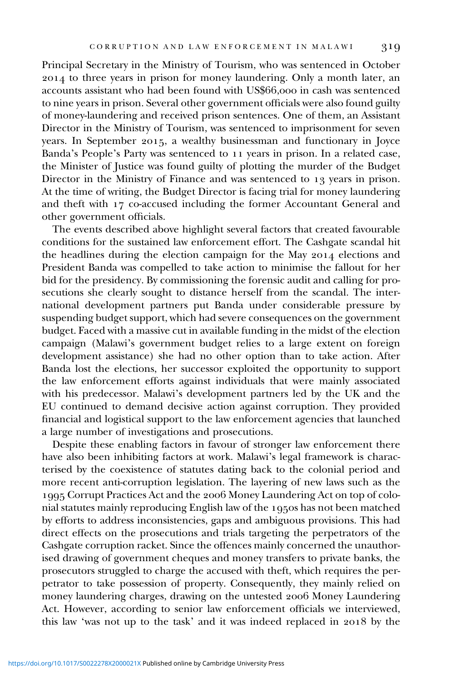Principal Secretary in the Ministry of Tourism, who was sentenced in October to three years in prison for money laundering. Only a month later, an accounts assistant who had been found with US\$66,000 in cash was sentenced to nine years in prison. Several other government officials were also found guilty of money-laundering and received prison sentences. One of them, an Assistant Director in the Ministry of Tourism, was sentenced to imprisonment for seven years. In September 2015, a wealthy businessman and functionary in Joyce Banda's People's Party was sentenced to 11 years in prison. In a related case, the Minister of Justice was found guilty of plotting the murder of the Budget Director in the Ministry of Finance and was sentenced to 13 years in prison. At the time of writing, the Budget Director is facing trial for money laundering and theft with 17 co-accused including the former Accountant General and other government officials.

The events described above highlight several factors that created favourable conditions for the sustained law enforcement effort. The Cashgate scandal hit the headlines during the election campaign for the May 2014 elections and President Banda was compelled to take action to minimise the fallout for her bid for the presidency. By commissioning the forensic audit and calling for prosecutions she clearly sought to distance herself from the scandal. The international development partners put Banda under considerable pressure by suspending budget support, which had severe consequences on the government budget. Faced with a massive cut in available funding in the midst of the election campaign (Malawi's government budget relies to a large extent on foreign development assistance) she had no other option than to take action. After Banda lost the elections, her successor exploited the opportunity to support the law enforcement efforts against individuals that were mainly associated with his predecessor. Malawi's development partners led by the UK and the EU continued to demand decisive action against corruption. They provided financial and logistical support to the law enforcement agencies that launched a large number of investigations and prosecutions.

Despite these enabling factors in favour of stronger law enforcement there have also been inhibiting factors at work. Malawi's legal framework is characterised by the coexistence of statutes dating back to the colonial period and more recent anti-corruption legislation. The layering of new laws such as the 1995 Corrupt Practices Act and the 2006 Money Laundering Act on top of colonial statutes mainly reproducing English law of the 1950s has not been matched by efforts to address inconsistencies, gaps and ambiguous provisions. This had direct effects on the prosecutions and trials targeting the perpetrators of the Cashgate corruption racket. Since the offences mainly concerned the unauthorised drawing of government cheques and money transfers to private banks, the prosecutors struggled to charge the accused with theft, which requires the perpetrator to take possession of property. Consequently, they mainly relied on money laundering charges, drawing on the untested 2006 Money Laundering Act. However, according to senior law enforcement officials we interviewed, this law 'was not up to the task' and it was indeed replaced in 2018 by the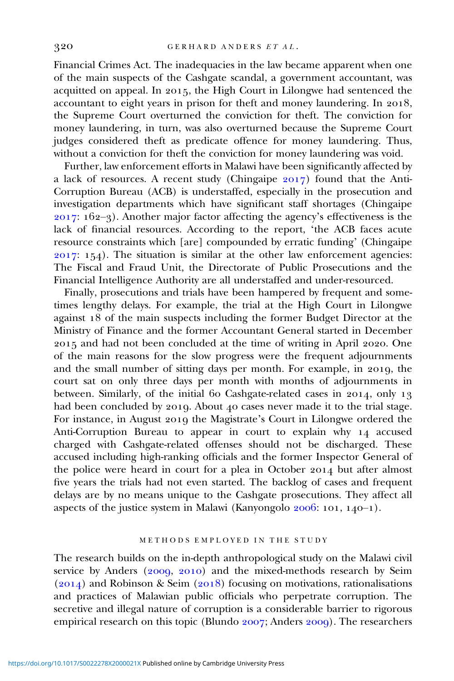Financial Crimes Act. The inadequacies in the law became apparent when one of the main suspects of the Cashgate scandal, a government accountant, was acquitted on appeal. In 2015, the High Court in Lilongwe had sentenced the accountant to eight years in prison for theft and money laundering. In 2018, the Supreme Court overturned the conviction for theft. The conviction for money laundering, in turn, was also overturned because the Supreme Court judges considered theft as predicate offence for money laundering. Thus, without a conviction for theft the conviction for money laundering was void.

Further, law enforcement efforts in Malawi have been significantly affected by a lack of resources. A recent study (Chingaipe  $2017$ ) found that the Anti-Corruption Bureau (ACB) is understaffed, especially in the prosecution and investigation departments which have significant staff shortages (Chingaipe 2017: 162-3). Another major factor affecting the agency's effectiveness is the lack of financial resources. According to the report, 'the ACB faces acute resource constraints which [are] compounded by erratic funding' (Chingaipe  $2017: 154$ ). The situation is similar at the other law enforcement agencies: The Fiscal and Fraud Unit, the Directorate of Public Prosecutions and the Financial Intelligence Authority are all understaffed and under-resourced.

Finally, prosecutions and trials have been hampered by frequent and sometimes lengthy delays. For example, the trial at the High Court in Lilongwe against 18 of the main suspects including the former Budget Director at the Ministry of Finance and the former Accountant General started in December 2015 and had not been concluded at the time of writing in April 2020. One of the main reasons for the slow progress were the frequent adjournments and the small number of sitting days per month. For example, in 2019, the court sat on only three days per month with months of adjournments in between. Similarly, of the initial 60 Cashgate-related cases in  $2014$ , only 13 had been concluded by 2019. About 40 cases never made it to the trial stage. For instance, in August 2019 the Magistrate's Court in Lilongwe ordered the Anti-Corruption Bureau to appear in court to explain why 14 accused charged with Cashgate-related offenses should not be discharged. These accused including high-ranking officials and the former Inspector General of the police were heard in court for a plea in October 2014 but after almost five years the trials had not even started. The backlog of cases and frequent delays are by no means unique to the Cashgate prosecutions. They affect all aspects of the justice system in Malawi (Kanyongolo  $2006$ : 101, 140-1).

#### METHODS EMPLOYED IN THE STUDY

The research builds on the in-depth anthropological study on the Malawi civil service by Anders ( $2009, 2010$ ) and the mixed-methods research by Seim  $(2014)$  and Robinson & Seim  $(2018)$  focusing on motivations, rationalisations and practices of Malawian public officials who perpetrate corruption. The secretive and illegal nature of corruption is a considerable barrier to rigorous empirical research on this topic (Blundo  $2007$ ; Anders  $2009$ ). The researchers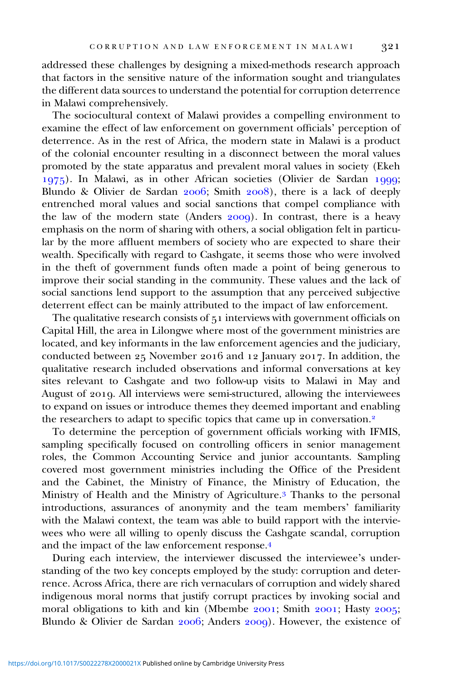addressed these challenges by designing a mixed-methods research approach that factors in the sensitive nature of the information sought and triangulates the different data sources to understand the potential for corruption deterrence in Malawi comprehensively.

The sociocultural context of Malawi provides a compelling environment to examine the effect of law enforcement on government officials' perception of deterrence. As in the rest of Africa, the modern state in Malawi is a product of the colonial encounter resulting in a disconnect between the moral values promoted by the state apparatus and prevalent moral values in society (Ekeh 1975). In Malawi, as in other African societies (Olivier de Sardan 1999; Blundo & Olivier de Sardan 2006; Smith 2008), there is a lack of deeply entrenched moral values and social sanctions that compel compliance with the law of the modern state (Anders  $2009$ ). In contrast, there is a heavy emphasis on the norm of sharing with others, a social obligation felt in particular by the more affluent members of society who are expected to share their wealth. Specifically with regard to Cashgate, it seems those who were involved in the theft of government funds often made a point of being generous to improve their social standing in the community. These values and the lack of social sanctions lend support to the assumption that any perceived subjective deterrent effect can be mainly attributed to the impact of law enforcement.

The qualitative research consists of 51 interviews with government officials on Capital Hill, the area in Lilongwe where most of the government ministries are located, and key informants in the law enforcement agencies and the judiciary, conducted between 25 November 2016 and 12 January 2017. In addition, the qualitative research included observations and informal conversations at key sites relevant to Cashgate and two follow-up visits to Malawi in May and August of 2019. All interviews were semi-structured, allowing the interviewees to expand on issues or introduce themes they deemed important and enabling the researchers to adapt to specific topics that came up in conversation.<sup>2</sup>

To determine the perception of government officials working with IFMIS, sampling specifically focused on controlling officers in senior management roles, the Common Accounting Service and junior accountants. Sampling covered most government ministries including the Office of the President and the Cabinet, the Ministry of Finance, the Ministry of Education, the Ministry of Health and the Ministry of Agriculture.<sup>3</sup> Thanks to the personal introductions, assurances of anonymity and the team members' familiarity with the Malawi context, the team was able to build rapport with the interviewees who were all willing to openly discuss the Cashgate scandal, corruption and the impact of the law enforcement response.

During each interview, the interviewer discussed the interviewee's understanding of the two key concepts employed by the study: corruption and deterrence. Across Africa, there are rich vernaculars of corruption and widely shared indigenous moral norms that justify corrupt practices by invoking social and moral obligations to kith and kin (Mbembe 2001; Smith 2001; Hasty 2005; Blundo & Olivier de Sardan  $2006$ ; Anders  $2009$ ). However, the existence of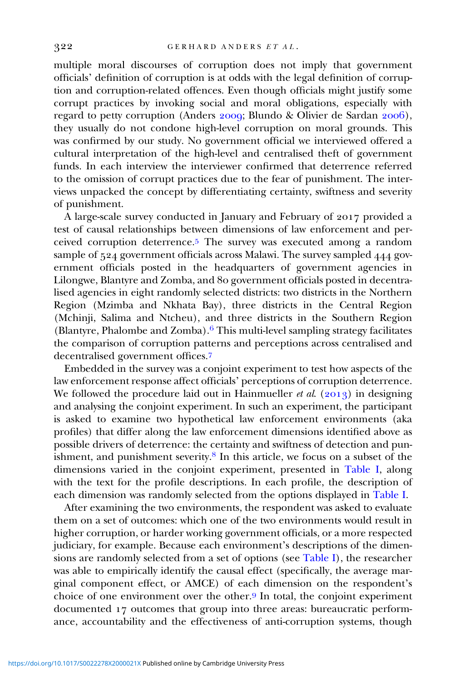multiple moral discourses of corruption does not imply that government officials' definition of corruption is at odds with the legal definition of corruption and corruption-related offences. Even though officials might justify some corrupt practices by invoking social and moral obligations, especially with regard to petty corruption (Anders 2009; Blundo & Olivier de Sardan 2006), they usually do not condone high-level corruption on moral grounds. This was confirmed by our study. No government official we interviewed offered a cultural interpretation of the high-level and centralised theft of government funds. In each interview the interviewer confirmed that deterrence referred to the omission of corrupt practices due to the fear of punishment. The interviews unpacked the concept by differentiating certainty, swiftness and severity of punishment.

A large-scale survey conducted in January and February of 2017 provided a test of causal relationships between dimensions of law enforcement and perceived corruption deterrence.<sup>5</sup> The survey was executed among a random sample of 524 government officials across Malawi. The survey sampled 444 government officials posted in the headquarters of government agencies in Lilongwe, Blantyre and Zomba, and 80 government officials posted in decentralised agencies in eight randomly selected districts: two districts in the Northern Region (Mzimba and Nkhata Bay), three districts in the Central Region (Mchinji, Salima and Ntcheu), and three districts in the Southern Region (Blantyre, Phalombe and Zomba).<sup>6</sup> This multi-level sampling strategy facilitates the comparison of corruption patterns and perceptions across centralised and decentralised government offices.<sup>7</sup>

Embedded in the survey was a conjoint experiment to test how aspects of the law enforcement response affect officials' perceptions of corruption deterrence. We followed the procedure laid out in Hainmueller et al.  $(2013)$  in designing and analysing the conjoint experiment. In such an experiment, the participant is asked to examine two hypothetical law enforcement environments (aka profiles) that differ along the law enforcement dimensions identified above as possible drivers of deterrence: the certainty and swiftness of detection and punishment, and punishment severity. $8$  In this article, we focus on a subset of the dimensions varied in the conjoint experiment, presented in [Table I,](#page-8-0) along with the text for the profile descriptions. In each profile, the description of each dimension was randomly selected from the options displayed in [Table I](#page-8-0).

After examining the two environments, the respondent was asked to evaluate them on a set of outcomes: which one of the two environments would result in higher corruption, or harder working government officials, or a more respected judiciary, for example. Because each environment's descriptions of the dimensions are randomly selected from a set of options (see [Table I\)](#page-8-0), the researcher was able to empirically identify the causal effect (specifically, the average marginal component effect, or AMCE) of each dimension on the respondent's choice of one environment over the other.<sup>9</sup> In total, the conjoint experiment documented 17 outcomes that group into three areas: bureaucratic performance, accountability and the effectiveness of anti-corruption systems, though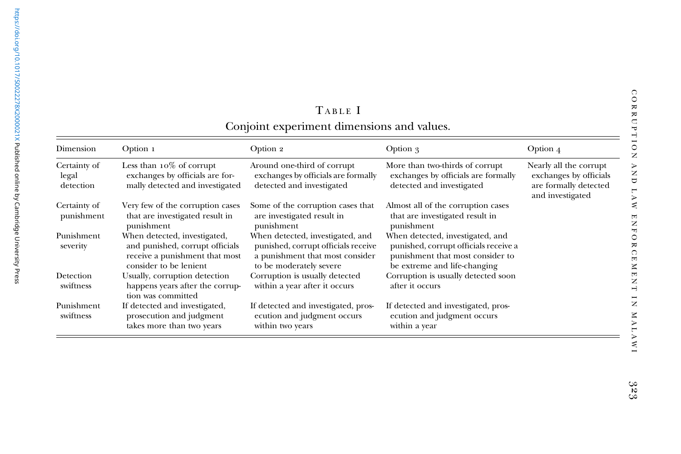<span id="page-8-0"></span>

| Dimension                          | Option 1                                                                                                                    | Option 2                                                                                                                              | Option 3                                                                                                                                      | Option $4$                                                                                    |
|------------------------------------|-----------------------------------------------------------------------------------------------------------------------------|---------------------------------------------------------------------------------------------------------------------------------------|-----------------------------------------------------------------------------------------------------------------------------------------------|-----------------------------------------------------------------------------------------------|
| Certainty of<br>legal<br>detection | Less than $10\%$ of corrupt<br>exchanges by officials are for-<br>mally detected and investigated                           | Around one-third of corrupt<br>exchanges by officials are formally<br>detected and investigated                                       | More than two-thirds of corrupt<br>exchanges by officials are formally<br>detected and investigated                                           | Nearly all the corrupt<br>exchanges by officials<br>are formally detected<br>and investigated |
| Certainty of<br>punishment         | Very few of the corruption cases<br>that are investigated result in<br>punishment                                           | Some of the corruption cases that<br>are investigated result in<br>punishment                                                         | Almost all of the corruption cases<br>that are investigated result in<br>punishment                                                           |                                                                                               |
| Punishment<br>severity             | When detected, investigated,<br>and punished, corrupt officials<br>receive a punishment that most<br>consider to be lenient | When detected, investigated, and<br>punished, corrupt officials receive<br>a punishment that most consider<br>to be moderately severe | When detected, investigated, and<br>punished, corrupt officials receive a<br>punishment that most consider to<br>be extreme and life-changing |                                                                                               |
| Detection<br>swiftness             | Usually, corruption detection<br>happens years after the corrup-<br>tion was committed                                      | Corruption is usually detected<br>within a year after it occurs                                                                       | Corruption is usually detected soon<br>after it occurs                                                                                        |                                                                                               |
| Punishment<br>swiftness            | If detected and investigated,<br>prosecution and judgment<br>takes more than two years                                      | If detected and investigated, pros-<br>ecution and judgment occurs<br>within two years                                                | If detected and investigated, pros-<br>ecution and judgment occurs<br>within a year                                                           |                                                                                               |

## TABLE I Conjoint experiment dimensions and values.

**MALAWI** 

CORRUPTION

AND LAW ENFORCEMENT IN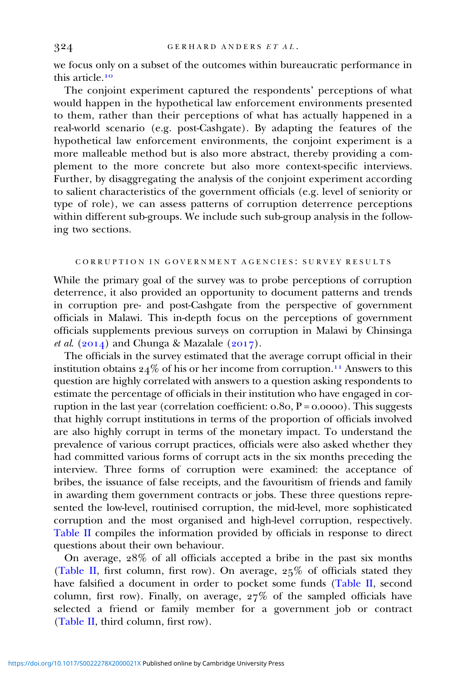we focus only on a subset of the outcomes within bureaucratic performance in this article.

The conjoint experiment captured the respondents' perceptions of what would happen in the hypothetical law enforcement environments presented to them, rather than their perceptions of what has actually happened in a real-world scenario (e.g. post-Cashgate). By adapting the features of the hypothetical law enforcement environments, the conjoint experiment is a more malleable method but is also more abstract, thereby providing a complement to the more concrete but also more context-specific interviews. Further, by disaggregating the analysis of the conjoint experiment according to salient characteristics of the government officials (e.g. level of seniority or type of role), we can assess patterns of corruption deterrence perceptions within different sub-groups. We include such sub-group analysis in the following two sections.

#### CORRUPTION IN GOVERNMENT AGENCIES : SURVEY RESULTS

While the primary goal of the survey was to probe perceptions of corruption deterrence, it also provided an opportunity to document patterns and trends in corruption pre- and post-Cashgate from the perspective of government officials in Malawi. This in-depth focus on the perceptions of government officials supplements previous surveys on corruption in Malawi by Chinsinga et al.  $(2014)$  and Chunga & Mazalale  $(2017)$ .

The officials in the survey estimated that the average corrupt official in their institution obtains  $24\%$  of his or her income from corruption.<sup>11</sup> Answers to this question are highly correlated with answers to a question asking respondents to estimate the percentage of officials in their institution who have engaged in corruption in the last year (correlation coefficient:  $0.80$ ,  $P = 0.0000$ ). This suggests that highly corrupt institutions in terms of the proportion of officials involved are also highly corrupt in terms of the monetary impact. To understand the prevalence of various corrupt practices, officials were also asked whether they had committed various forms of corrupt acts in the six months preceding the interview. Three forms of corruption were examined: the acceptance of bribes, the issuance of false receipts, and the favouritism of friends and family in awarding them government contracts or jobs. These three questions represented the low-level, routinised corruption, the mid-level, more sophisticated corruption and the most organised and high-level corruption, respectively. [Table II](#page-10-0) compiles the information provided by officials in response to direct questions about their own behaviour.

On average,  $28\%$  of all officials accepted a bribe in the past six months [\(Table II,](#page-10-0) first column, first row). On average,  $25\%$  of officials stated they have falsified a document in order to pocket some funds [\(Table II](#page-10-0), second column, first row). Finally, on average,  $27\%$  of the sampled officials have selected a friend or family member for a government job or contract [\(Table II](#page-10-0), third column, first row).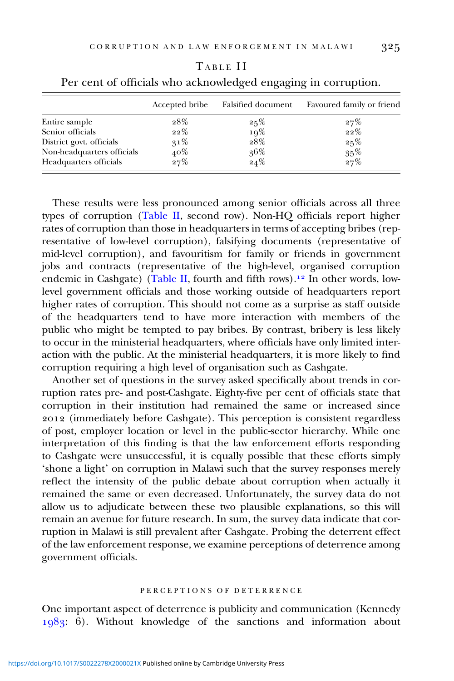| cials who acknowledged engaging in corruption. |                    |                           |  |  |  |
|------------------------------------------------|--------------------|---------------------------|--|--|--|
| Accepted bribe                                 | Falsified document | Favoured family or friend |  |  |  |

<span id="page-10-0"></span>

| TABLE II                                                       |
|----------------------------------------------------------------|
| Per cent of officials who acknowledged engaging in corruption. |

Entire sample  $28\%$   $25\%$   $27\%$ <br>Senior officials  $22\%$   $19\%$   $22\%$ 

District govt. officials  $31\%$   $28\%$   $25\%$ Non-headquarters officials  $40\%$   $40\%$   $35\%$ <br>Headquarters officials  $27\%$   $24\%$   $27\%$ 

Senior officials  $22\%$   $19\%$ <br>District govt. officials  $31\%$   $28\%$ 

Headquarters officials

These results were less pronounced among senior officials across all three types of corruption (Table II, second row). Non-HQ officials report higher rates of corruption than those in headquarters in terms of accepting bribes (representative of low-level corruption), falsifying documents (representative of mid-level corruption), and favouritism for family or friends in government jobs and contracts (representative of the high-level, organised corruption endemic in Cashgate) (Table II, fourth and fifth rows).<sup>12</sup> In other words, lowlevel government officials and those working outside of headquarters report higher rates of corruption. This should not come as a surprise as staff outside of the headquarters tend to have more interaction with members of the public who might be tempted to pay bribes. By contrast, bribery is less likely to occur in the ministerial headquarters, where officials have only limited interaction with the public. At the ministerial headquarters, it is more likely to find corruption requiring a high level of organisation such as Cashgate.

Another set of questions in the survey asked specifically about trends in corruption rates pre- and post-Cashgate. Eighty-five per cent of officials state that corruption in their institution had remained the same or increased since (immediately before Cashgate). This perception is consistent regardless of post, employer location or level in the public-sector hierarchy. While one interpretation of this finding is that the law enforcement efforts responding to Cashgate were unsuccessful, it is equally possible that these efforts simply 'shone a light' on corruption in Malawi such that the survey responses merely reflect the intensity of the public debate about corruption when actually it remained the same or even decreased. Unfortunately, the survey data do not allow us to adjudicate between these two plausible explanations, so this will remain an avenue for future research. In sum, the survey data indicate that corruption in Malawi is still prevalent after Cashgate. Probing the deterrent effect of the law enforcement response, we examine perceptions of deterrence among government officials.

#### PERCEPTIONS OF DETERRENCE

One important aspect of deterrence is publicity and communication (Kennedy  $1983$ : 6). Without knowledge of the sanctions and information about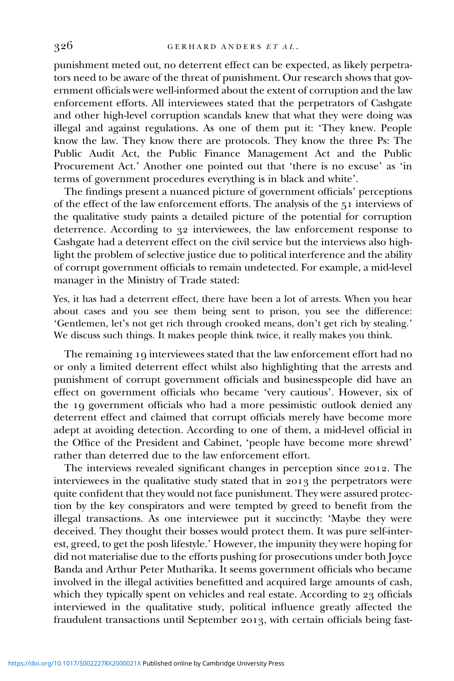punishment meted out, no deterrent effect can be expected, as likely perpetrators need to be aware of the threat of punishment. Our research shows that government officials were well-informed about the extent of corruption and the law enforcement efforts. All interviewees stated that the perpetrators of Cashgate and other high-level corruption scandals knew that what they were doing was illegal and against regulations. As one of them put it: 'They knew. People know the law. They know there are protocols. They know the three Ps: The Public Audit Act, the Public Finance Management Act and the Public Procurement Act.' Another one pointed out that 'there is no excuse' as 'in terms of government procedures everything is in black and white'.

The findings present a nuanced picture of government officials' perceptions of the effect of the law enforcement efforts. The analysis of the 51 interviews of the qualitative study paints a detailed picture of the potential for corruption deterrence. According to 32 interviewees, the law enforcement response to Cashgate had a deterrent effect on the civil service but the interviews also highlight the problem of selective justice due to political interference and the ability of corrupt government officials to remain undetected. For example, a mid-level manager in the Ministry of Trade stated:

Yes, it has had a deterrent effect, there have been a lot of arrests. When you hear about cases and you see them being sent to prison, you see the difference: 'Gentlemen, let's not get rich through crooked means, don't get rich by stealing.' We discuss such things. It makes people think twice, it really makes you think.

The remaining 19 interviewees stated that the law enforcement effort had no or only a limited deterrent effect whilst also highlighting that the arrests and punishment of corrupt government officials and businesspeople did have an effect on government officials who became 'very cautious'. However, six of the 19 government officials who had a more pessimistic outlook denied any deterrent effect and claimed that corrupt officials merely have become more adept at avoiding detection. According to one of them, a mid-level official in the Office of the President and Cabinet, 'people have become more shrewd' rather than deterred due to the law enforcement effort.

The interviews revealed significant changes in perception since 2012. The interviewees in the qualitative study stated that in 2013 the perpetrators were quite confident that they would not face punishment. They were assured protection by the key conspirators and were tempted by greed to benefit from the illegal transactions. As one interviewee put it succinctly: 'Maybe they were deceived. They thought their bosses would protect them. It was pure self-interest, greed, to get the posh lifestyle.' However, the impunity they were hoping for did not materialise due to the efforts pushing for prosecutions under both Joyce Banda and Arthur Peter Mutharika. It seems government officials who became involved in the illegal activities benefitted and acquired large amounts of cash, which they typically spent on vehicles and real estate. According to 23 officials interviewed in the qualitative study, political influence greatly affected the fraudulent transactions until September 2013, with certain officials being fast-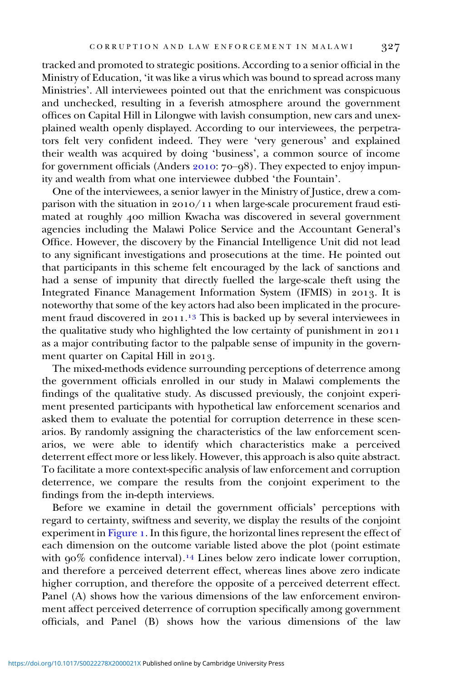tracked and promoted to strategic positions. According to a senior official in the Ministry of Education, 'it was like a virus which was bound to spread across many Ministries'. All interviewees pointed out that the enrichment was conspicuous and unchecked, resulting in a feverish atmosphere around the government offices on Capital Hill in Lilongwe with lavish consumption, new cars and unexplained wealth openly displayed. According to our interviewees, the perpetrators felt very confident indeed. They were 'very generous' and explained their wealth was acquired by doing 'business', a common source of income for government officials (Anders  $2010:70-98$ ). They expected to enjoy impunity and wealth from what one interviewee dubbed 'the Fountain'.

One of the interviewees, a senior lawyer in the Ministry of Justice, drew a comparison with the situation in  $2010/11$  when large-scale procurement fraud estimated at roughly 400 million Kwacha was discovered in several government agencies including the Malawi Police Service and the Accountant General's Office. However, the discovery by the Financial Intelligence Unit did not lead to any significant investigations and prosecutions at the time. He pointed out that participants in this scheme felt encouraged by the lack of sanctions and had a sense of impunity that directly fuelled the large-scale theft using the Integrated Finance Management Information System (IFMIS) in 2013. It is noteworthy that some of the key actors had also been implicated in the procurement fraud discovered in 2011.<sup>13</sup> This is backed up by several interviewees in the qualitative study who highlighted the low certainty of punishment in 2011 as a major contributing factor to the palpable sense of impunity in the government quarter on Capital Hill in 2013.

The mixed-methods evidence surrounding perceptions of deterrence among the government officials enrolled in our study in Malawi complements the findings of the qualitative study. As discussed previously, the conjoint experiment presented participants with hypothetical law enforcement scenarios and asked them to evaluate the potential for corruption deterrence in these scenarios. By randomly assigning the characteristics of the law enforcement scenarios, we were able to identify which characteristics make a perceived deterrent effect more or less likely. However, this approach is also quite abstract. To facilitate a more context-specific analysis of law enforcement and corruption deterrence, we compare the results from the conjoint experiment to the findings from the in-depth interviews.

Before we examine in detail the government officials' perceptions with regard to certainty, swiftness and severity, we display the results of the conjoint experiment in [Figure](#page-13-0) 1. In this figure, the horizontal lines represent the effect of each dimension on the outcome variable listed above the plot (point estimate with  $90\%$  confidence interval).<sup>14</sup> Lines below zero indicate lower corruption, and therefore a perceived deterrent effect, whereas lines above zero indicate higher corruption, and therefore the opposite of a perceived deterrent effect. Panel (A) shows how the various dimensions of the law enforcement environment affect perceived deterrence of corruption specifically among government officials, and Panel (B) shows how the various dimensions of the law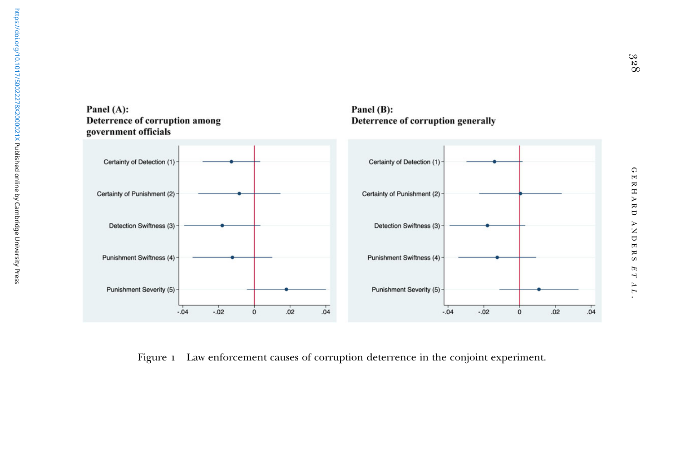

Panel (B):

Deterrence of corruption generally

#### <span id="page-13-0"></span>Panel (A): Deterrence of corruption among government officials

Figure 1 Law enforcement causes of corruption deterrence in the conjoint experiment.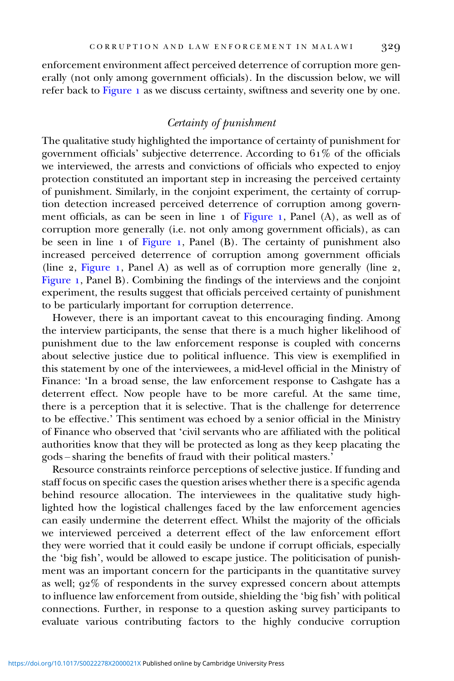enforcement environment affect perceived deterrence of corruption more generally (not only among government officials). In the discussion below, we will refer back to [Figure](#page-13-0) 1 as we discuss certainty, swiftness and severity one by one.

# Certainty of punishment

The qualitative study highlighted the importance of certainty of punishment for government officials' subjective deterrence. According to  $61\%$  of the officials we interviewed, the arrests and convictions of officials who expected to enjoy protection constituted an important step in increasing the perceived certainty of punishment. Similarly, in the conjoint experiment, the certainty of corruption detection increased perceived deterrence of corruption among govern-ment officials, as can be seen in line 1 of [Figure](#page-13-0) 1, Panel (A), as well as of corruption more generally (i.e. not only among government officials), as can be seen in line  $\overline{1}$  of [Figure](#page-13-0) 1, Panel (B). The certainty of punishment also increased perceived deterrence of corruption among government officials (line  $2$ , [Figure](#page-13-0) 1, Panel A) as well as of corruption more generally (line  $2$ , [Figure](#page-13-0) 1, Panel B). Combining the findings of the interviews and the conjoint experiment, the results suggest that officials perceived certainty of punishment to be particularly important for corruption deterrence.

However, there is an important caveat to this encouraging finding. Among the interview participants, the sense that there is a much higher likelihood of punishment due to the law enforcement response is coupled with concerns about selective justice due to political influence. This view is exemplified in this statement by one of the interviewees, a mid-level official in the Ministry of Finance: 'In a broad sense, the law enforcement response to Cashgate has a deterrent effect. Now people have to be more careful. At the same time, there is a perception that it is selective. That is the challenge for deterrence to be effective.' This sentiment was echoed by a senior official in the Ministry of Finance who observed that 'civil servants who are affiliated with the political authorities know that they will be protected as long as they keep placating the gods – sharing the benefits of fraud with their political masters.'

Resource constraints reinforce perceptions of selective justice. If funding and staff focus on specific cases the question arises whether there is a specific agenda behind resource allocation. The interviewees in the qualitative study highlighted how the logistical challenges faced by the law enforcement agencies can easily undermine the deterrent effect. Whilst the majority of the officials we interviewed perceived a deterrent effect of the law enforcement effort they were worried that it could easily be undone if corrupt officials, especially the 'big fish', would be allowed to escape justice. The politicisation of punishment was an important concern for the participants in the quantitative survey as well;  $92\%$  of respondents in the survey expressed concern about attempts to influence law enforcement from outside, shielding the 'big fish' with political connections. Further, in response to a question asking survey participants to evaluate various contributing factors to the highly conducive corruption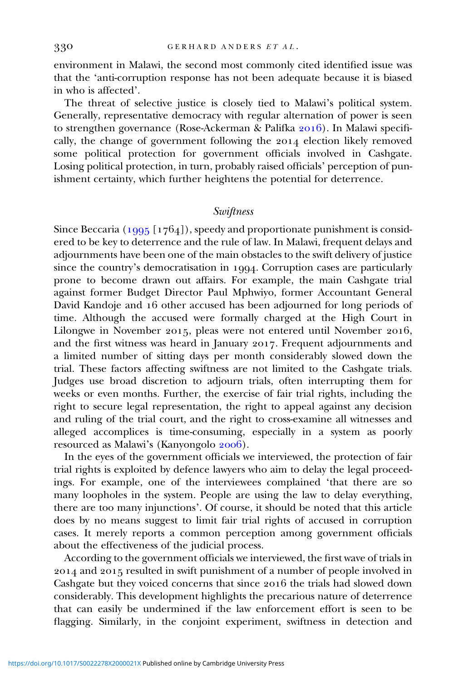environment in Malawi, the second most commonly cited identified issue was that the 'anti-corruption response has not been adequate because it is biased in who is affected'.

The threat of selective justice is closely tied to Malawi's political system. Generally, representative democracy with regular alternation of power is seen to strengthen governance (Rose-Ackerman & Palifka 2016). In Malawi specifically, the change of government following the 2014 election likely removed some political protection for government officials involved in Cashgate. Losing political protection, in turn, probably raised officials' perception of punishment certainty, which further heightens the potential for deterrence.

## **Swiftness**

Since Beccaria ( $1995$  [ $1764$ ]), speedy and proportionate punishment is considered to be key to deterrence and the rule of law. In Malawi, frequent delays and adjournments have been one of the main obstacles to the swift delivery of justice since the country's democratisation in 1994. Corruption cases are particularly prone to become drawn out affairs. For example, the main Cashgate trial against former Budget Director Paul Mphwiyo, former Accountant General David Kandoje and 16 other accused has been adjourned for long periods of time. Although the accused were formally charged at the High Court in Lilongwe in November 2015, pleas were not entered until November 2016, and the first witness was heard in January 2017. Frequent adjournments and a limited number of sitting days per month considerably slowed down the trial. These factors affecting swiftness are not limited to the Cashgate trials. Judges use broad discretion to adjourn trials, often interrupting them for weeks or even months. Further, the exercise of fair trial rights, including the right to secure legal representation, the right to appeal against any decision and ruling of the trial court, and the right to cross-examine all witnesses and alleged accomplices is time-consuming, especially in a system as poorly resourced as Malawi's (Kanyongolo 2006).

In the eyes of the government officials we interviewed, the protection of fair trial rights is exploited by defence lawyers who aim to delay the legal proceedings. For example, one of the interviewees complained 'that there are so many loopholes in the system. People are using the law to delay everything, there are too many injunctions'. Of course, it should be noted that this article does by no means suggest to limit fair trial rights of accused in corruption cases. It merely reports a common perception among government officials about the effectiveness of the judicial process.

According to the government officials we interviewed, the first wave of trials in 2014 and 2015 resulted in swift punishment of a number of people involved in Cashgate but they voiced concerns that since 2016 the trials had slowed down considerably. This development highlights the precarious nature of deterrence that can easily be undermined if the law enforcement effort is seen to be flagging. Similarly, in the conjoint experiment, swiftness in detection and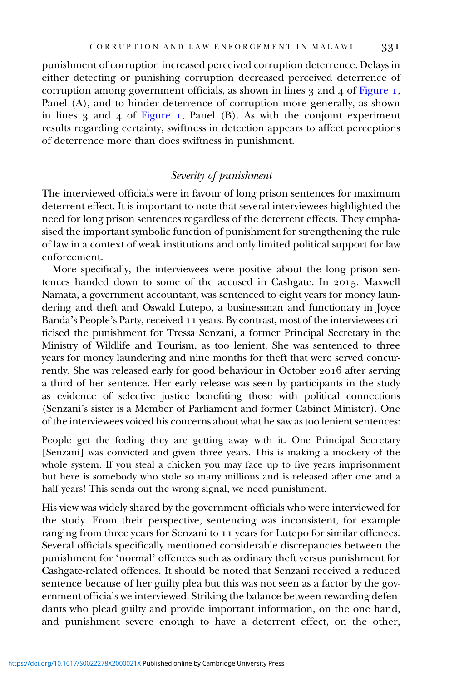punishment of corruption increased perceived corruption deterrence. Delays in either detecting or punishing corruption decreased perceived deterrence of corruption among government officials, as shown in lines  $3$  and  $4$  of [Figure](#page-13-0) 1, Panel (A), and to hinder deterrence of corruption more generally, as shown in lines  $\beta$  and  $\alpha$  of [Figure](#page-13-0) 1, Panel (B). As with the conjoint experiment results regarding certainty, swiftness in detection appears to affect perceptions of deterrence more than does swiftness in punishment.

### Severity of punishment

The interviewed officials were in favour of long prison sentences for maximum deterrent effect. It is important to note that several interviewees highlighted the need for long prison sentences regardless of the deterrent effects. They emphasised the important symbolic function of punishment for strengthening the rule of law in a context of weak institutions and only limited political support for law enforcement.

More specifically, the interviewees were positive about the long prison sentences handed down to some of the accused in Cashgate. In 2015, Maxwell Namata, a government accountant, was sentenced to eight years for money laundering and theft and Oswald Lutepo, a businessman and functionary in Joyce Banda's People's Party, received 11 years. By contrast, most of the interviewees criticised the punishment for Tressa Senzani, a former Principal Secretary in the Ministry of Wildlife and Tourism, as too lenient. She was sentenced to three years for money laundering and nine months for theft that were served concurrently. She was released early for good behaviour in October 2016 after serving a third of her sentence. Her early release was seen by participants in the study as evidence of selective justice benefiting those with political connections (Senzani's sister is a Member of Parliament and former Cabinet Minister). One of the interviewees voiced his concerns about what he saw as too lenient sentences:

People get the feeling they are getting away with it. One Principal Secretary [Senzani] was convicted and given three years. This is making a mockery of the whole system. If you steal a chicken you may face up to five years imprisonment but here is somebody who stole so many millions and is released after one and a half years! This sends out the wrong signal, we need punishment.

His view was widely shared by the government officials who were interviewed for the study. From their perspective, sentencing was inconsistent, for example ranging from three years for Senzani to 11 years for Lutepo for similar offences. Several officials specifically mentioned considerable discrepancies between the punishment for 'normal' offences such as ordinary theft versus punishment for Cashgate-related offences. It should be noted that Senzani received a reduced sentence because of her guilty plea but this was not seen as a factor by the government officials we interviewed. Striking the balance between rewarding defendants who plead guilty and provide important information, on the one hand, and punishment severe enough to have a deterrent effect, on the other,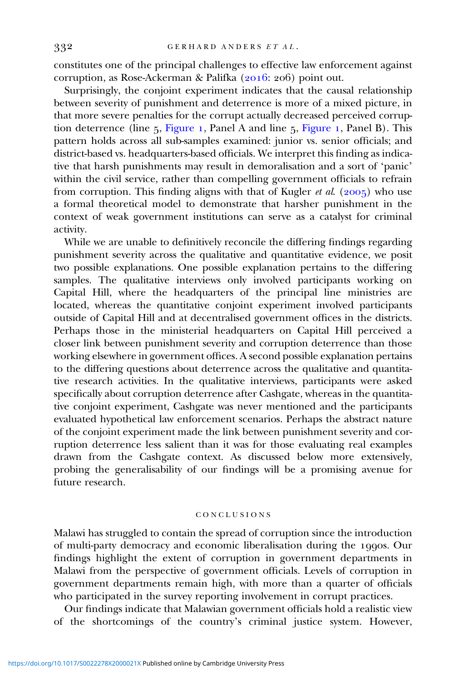constitutes one of the principal challenges to effective law enforcement against corruption, as Rose-Ackerman & Palifka (2016: 206) point out.

Surprisingly, the conjoint experiment indicates that the causal relationship between severity of punishment and deterrence is more of a mixed picture, in that more severe penalties for the corrupt actually decreased perceived corrup-tion deterrence (line 5, [Figure](#page-13-0) 1, Panel A and line 5, Figure 1, Panel B). This pattern holds across all sub-samples examined: junior vs. senior officials; and district-based vs. headquarters-based officials. We interpret this finding as indicative that harsh punishments may result in demoralisation and a sort of 'panic' within the civil service, rather than compelling government officials to refrain from corruption. This finding aligns with that of Kugler et al. (2005) who use a formal theoretical model to demonstrate that harsher punishment in the context of weak government institutions can serve as a catalyst for criminal activity.

While we are unable to definitively reconcile the differing findings regarding punishment severity across the qualitative and quantitative evidence, we posit two possible explanations. One possible explanation pertains to the differing samples. The qualitative interviews only involved participants working on Capital Hill, where the headquarters of the principal line ministries are located, whereas the quantitative conjoint experiment involved participants outside of Capital Hill and at decentralised government offices in the districts. Perhaps those in the ministerial headquarters on Capital Hill perceived a closer link between punishment severity and corruption deterrence than those working elsewhere in government offices. A second possible explanation pertains to the differing questions about deterrence across the qualitative and quantitative research activities. In the qualitative interviews, participants were asked specifically about corruption deterrence after Cashgate, whereas in the quantitative conjoint experiment, Cashgate was never mentioned and the participants evaluated hypothetical law enforcement scenarios. Perhaps the abstract nature of the conjoint experiment made the link between punishment severity and corruption deterrence less salient than it was for those evaluating real examples drawn from the Cashgate context. As discussed below more extensively, probing the generalisability of our findings will be a promising avenue for future research.

#### CONCLUSIONS

Malawi has struggled to contain the spread of corruption since the introduction of multi-party democracy and economic liberalisation during the 1990s. Our findings highlight the extent of corruption in government departments in Malawi from the perspective of government officials. Levels of corruption in government departments remain high, with more than a quarter of officials who participated in the survey reporting involvement in corrupt practices.

Our findings indicate that Malawian government officials hold a realistic view of the shortcomings of the country's criminal justice system. However,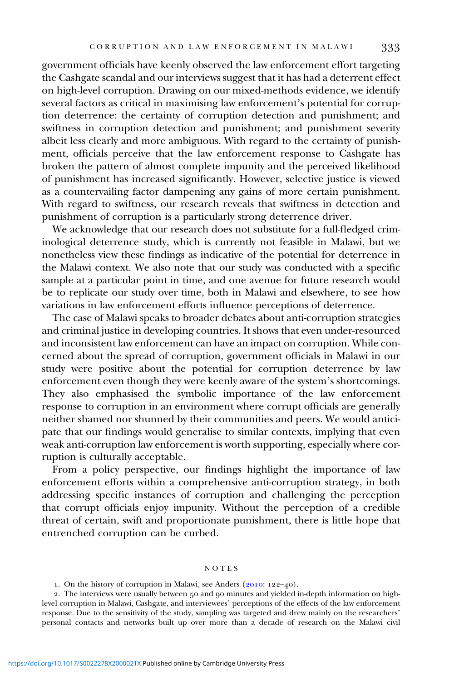<span id="page-18-0"></span>government officials have keenly observed the law enforcement effort targeting the Cashgate scandal and our interviews suggest that it has had a deterrent effect on high-level corruption. Drawing on our mixed-methods evidence, we identify several factors as critical in maximising law enforcement's potential for corruption deterrence: the certainty of corruption detection and punishment; and swiftness in corruption detection and punishment; and punishment severity albeit less clearly and more ambiguous. With regard to the certainty of punishment, officials perceive that the law enforcement response to Cashgate has broken the pattern of almost complete impunity and the perceived likelihood of punishment has increased significantly. However, selective justice is viewed as a countervailing factor dampening any gains of more certain punishment. With regard to swiftness, our research reveals that swiftness in detection and punishment of corruption is a particularly strong deterrence driver.

We acknowledge that our research does not substitute for a full-fledged criminological deterrence study, which is currently not feasible in Malawi, but we nonetheless view these findings as indicative of the potential for deterrence in the Malawi context. We also note that our study was conducted with a specific sample at a particular point in time, and one avenue for future research would be to replicate our study over time, both in Malawi and elsewhere, to see how variations in law enforcement efforts influence perceptions of deterrence.

The case of Malawi speaks to broader debates about anti-corruption strategies and criminal justice in developing countries. It shows that even under-resourced and inconsistent law enforcement can have an impact on corruption. While concerned about the spread of corruption, government officials in Malawi in our study were positive about the potential for corruption deterrence by law enforcement even though they were keenly aware of the system's shortcomings. They also emphasised the symbolic importance of the law enforcement response to corruption in an environment where corrupt officials are generally neither shamed nor shunned by their communities and peers. We would anticipate that our findings would generalise to similar contexts, implying that even weak anti-corruption law enforcement is worth supporting, especially where corruption is culturally acceptable.

From a policy perspective, our findings highlight the importance of law enforcement efforts within a comprehensive anti-corruption strategy, in both addressing specific instances of corruption and challenging the perception that corrupt officials enjoy impunity. Without the perception of a credible threat of certain, swift and proportionate punishment, there is little hope that entrenched corruption can be curbed.

#### NOTES

<sup>1.</sup> On the history of corruption in Malawi, see Anders  $(2010: 122-40)$ .

<sup>2.</sup> The interviews were usually between 50 and 90 minutes and yielded in-depth information on highlevel corruption in Malawi, Cashgate, and interviewees' perceptions of the effects of the law enforcement response. Due to the sensitivity of the study, sampling was targeted and drew mainly on the researchers' personal contacts and networks built up over more than a decade of research on the Malawi civil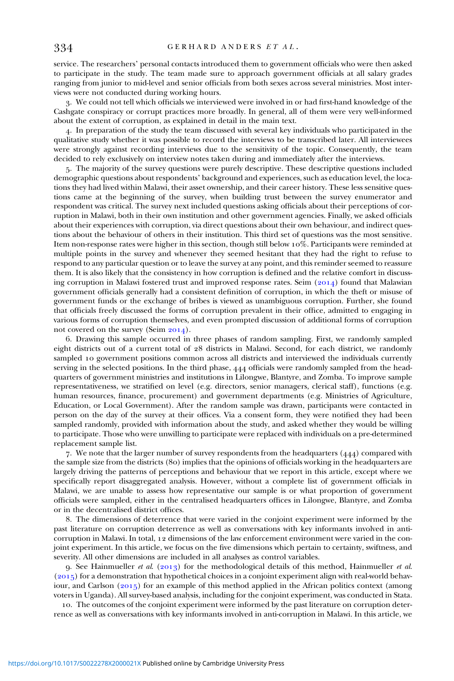<span id="page-19-0"></span>service. The researchers' personal contacts introduced them to government officials who were then asked to participate in the study. The team made sure to approach government officials at all salary grades ranging from junior to mid-level and senior officials from both sexes across several ministries. Most interviews were not conducted during working hours.

. We could not tell which officials we interviewed were involved in or had first-hand knowledge of the Cashgate conspiracy or corrupt practices more broadly. In general, all of them were very well-informed about the extent of corruption, as explained in detail in the main text.

. In preparation of the study the team discussed with several key individuals who participated in the qualitative study whether it was possible to record the interviews to be transcribed later. All interviewees were strongly against recording interviews due to the sensitivity of the topic. Consequently, the team decided to rely exclusively on interview notes taken during and immediately after the interviews.

. The majority of the survey questions were purely descriptive. These descriptive questions included demographic questions about respondents' background and experiences, such as education level, the locations they had lived within Malawi, their asset ownership, and their career history. These less sensitive questions came at the beginning of the survey, when building trust between the survey enumerator and respondent was critical. The survey next included questions asking officials about their perceptions of corruption in Malawi, both in their own institution and other government agencies. Finally, we asked officials about their experiences with corruption, via direct questions about their own behaviour, and indirect questions about the behaviour of others in their institution. This third set of questions was the most sensitive. Item non-response rates were higher in this section, though still below  $10\%$ . Participants were reminded at multiple points in the survey and whenever they seemed hesitant that they had the right to refuse to respond to any particular question or to leave the survey at any point, and this reminder seemed to reassure them. It is also likely that the consistency in how corruption is defined and the relative comfort in discussing corruption in Malawi fostered trust and improved response rates. Seim  $(2014)$  found that Malawian government officials generally had a consistent definition of corruption, in which the theft or misuse of government funds or the exchange of bribes is viewed as unambiguous corruption. Further, she found that officials freely discussed the forms of corruption prevalent in their office, admitted to engaging in various forms of corruption themselves, and even prompted discussion of additional forms of corruption not covered on the survey (Seim  $2014$ ).

. Drawing this sample occurred in three phases of random sampling. First, we randomly sampled eight districts out of a current total of 28 districts in Malawi. Second, for each district, we randomly sampled 10 government positions common across all districts and interviewed the individuals currently serving in the selected positions. In the third phase, 444 officials were randomly sampled from the headquarters of government ministries and institutions in Lilongwe, Blantyre, and Zomba. To improve sample representativeness, we stratified on level (e.g. directors, senior managers, clerical staff), functions (e.g. human resources, finance, procurement) and government departments (e.g. Ministries of Agriculture, Education, or Local Government). After the random sample was drawn, participants were contacted in person on the day of the survey at their offices. Via a consent form, they were notified they had been sampled randomly, provided with information about the study, and asked whether they would be willing to participate. Those who were unwilling to participate were replaced with individuals on a pre-determined replacement sample list.

7. We note that the larger number of survey respondents from the headquarters  $(444)$  compared with the sample size from the districts (80) implies that the opinions of officials working in the headquarters are largely driving the patterns of perceptions and behaviour that we report in this article, except where we specifically report disaggregated analysis. However, without a complete list of government officials in Malawi, we are unable to assess how representative our sample is or what proportion of government officials were sampled, either in the centralised headquarters offices in Lilongwe, Blantyre, and Zomba or in the decentralised district offices.

. The dimensions of deterrence that were varied in the conjoint experiment were informed by the past literature on corruption deterrence as well as conversations with key informants involved in anticorruption in Malawi. In total, 12 dimensions of the law enforcement environment were varied in the conjoint experiment. In this article, we focus on the five dimensions which pertain to certainty, swiftness, and severity. All other dimensions are included in all analyses as control variables.

9. See Hainmueller et al. (2013) for the methodological details of this method, Hainmueller et al.  $(2015)$  for a demonstration that hypothetical choices in a conjoint experiment align with real-world behaviour, and Carlson  $(2015)$  for an example of this method applied in the African politics context (among voters in Uganda). All survey-based analysis, including for the conjoint experiment, was conducted in Stata.

. The outcomes of the conjoint experiment were informed by the past literature on corruption deterrence as well as conversations with key informants involved in anti-corruption in Malawi. In this article, we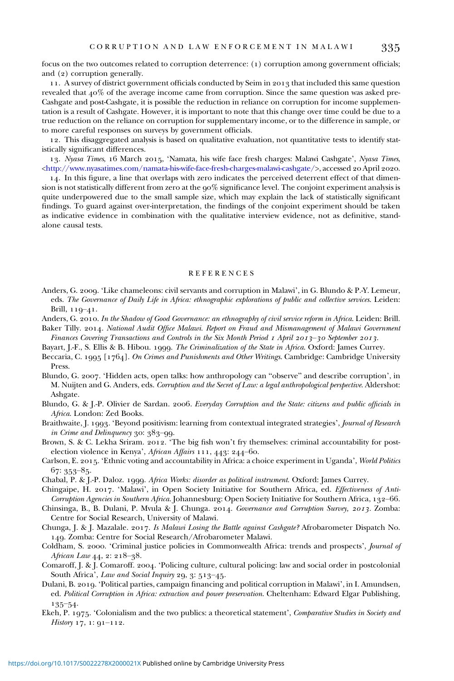<span id="page-20-0"></span>focus on the two outcomes related to corruption deterrence: (1) corruption among government officials; and  $(2)$  corruption generally.

11. A survey of district government officials conducted by Seim in 2013 that included this same question revealed that  $40\%$  of the average income came from corruption. Since the same question was asked pre-Cashgate and post-Cashgate, it is possible the reduction in reliance on corruption for income supplementation is a result of Cashgate. However, it is important to note that this change over time could be due to a true reduction on the reliance on corruption for supplementary income, or to the difference in sample, or to more careful responses on surveys by government officials.

. This disaggregated analysis is based on qualitative evaluation, not quantitative tests to identify statistically significant differences.

13. Nyasa Times, 16 March 2015, 'Namata, his wife face fresh charges: Malawi Cashgate', Nyasa Times, [<http://www.nyasatimes.com/namata-his-wife-face-fresh-charges-malawi-cashgate/>](http://www.nyasatimes.com/namata-his-wife-face-fresh-charges-malawi-cashgate/), accessed 20 April 2020.

. In this figure, a line that overlaps with zero indicates the perceived deterrent effect of that dimension is not statistically different from zero at the  $90\%$  significance level. The conjoint experiment analysis is quite underpowered due to the small sample size, which may explain the lack of statistically significant findings. To guard against over-interpretation, the findings of the conjoint experiment should be taken as indicative evidence in combination with the qualitative interview evidence, not as definitive, standalone causal tests.

#### REFERENCES

- Anders, G. 2009. 'Like chameleons: civil servants and corruption in Malawi', in G. Blundo & P.-Y. Lemeur, eds. The Governance of Daily Life in Africa: ethnographic explorations of public and collective services. Leiden: Brill,  $119 - 41$ .
- Anders, G. 2010. In the Shadow of Good Governance: an ethnography of civil service reform in Africa. Leiden: Brill.
- Baker Tilly. 2014. National Audit Office Malawi. Report on Fraud and Mismanagement of Malawi Government Finances Covering Transactions and Controls in the Six Month Period  $I$  April 2013–30 September 2013.
- Bayart, J.-F., S. Ellis & B. Hibou. 1999. The Criminalization of the State in Africa. Oxford: James Currey.
- Beccaria, C. 1995 [1764]. On Crimes and Punishments and Other Writings. Cambridge: Cambridge University Press.
- Blundo, G. 2007. 'Hidden acts, open talks: how anthropology can "observe" and describe corruption', in M. Nuijten and G. Anders, eds. Corruption and the Secret of Law: a legal anthropological perspective. Aldershot: Ashgate.
- Blundo, G. & J.-P. Olivier de Sardan. 2006. Everyday Corruption and the State: citizens and public officials in Africa. London: Zed Books.
- Braithwaite, J. 1993. 'Beyond positivism: learning from contextual integrated strategies', Journal of Research in Crime and Delinquency  $30:383-99$ .
- Brown, S. & C. Lekha Sriram. 2012. 'The big fish won't fry themselves: criminal accountability for postelection violence in Kenya', African Affairs  $111, 443$ :  $244$ -60.
- Carlson, E. 2015. 'Ethnic voting and accountability in Africa: a choice experiment in Uganda', World Politics  $67: 353 - 85.$
- Chabal, P. & J.-P. Daloz. 1999. Africa Works: disorder as political instrument. Oxford: James Currey.
- Chingaipe, H. 2017. 'Malawi', in Open Society Initiative for Southern Africa, ed. Effectiveness of Anti-Corruption Agencies in Southern Africa. Johannesburg: Open Society Initiative for Southern Africa, 132-66.
- Chinsinga, B., B. Dulani, P. Mvula & J. Chunga. 2014. Governance and Corruption Survey, 2013. Zomba: Centre for Social Research, University of Malawi.
- Chunga, J. & J. Mazalale. 2017. Is Malawi Losing the Battle against Cashgate? Afrobarometer Dispatch No. . Zomba: Centre for Social Research/Afrobarometer Malawi.
- Coldham, S. 2000. 'Criminal justice policies in Commonwealth Africa: trends and prospects', *Journal of* African Law  $44, 2: 218-38$ .
- Comaroff, J. & J. Comaroff. 2004. 'Policing culture, cultural policing: law and social order in postcolonial South Africa', Law and Social Inquiry 29, 3: 513-45.
- Dulani, B. 2019. 'Political parties, campaign financing and political corruption in Malawi', in I. Amundsen, ed. Political Corruption in Africa: extraction and power preservation. Cheltenham: Edward Elgar Publishing,  $135 - 54$
- Ekeh, P. 1975. 'Colonialism and the two publics: a theoretical statement', Comparative Studies in Society and History  $17, 1: 91 - 112$ .